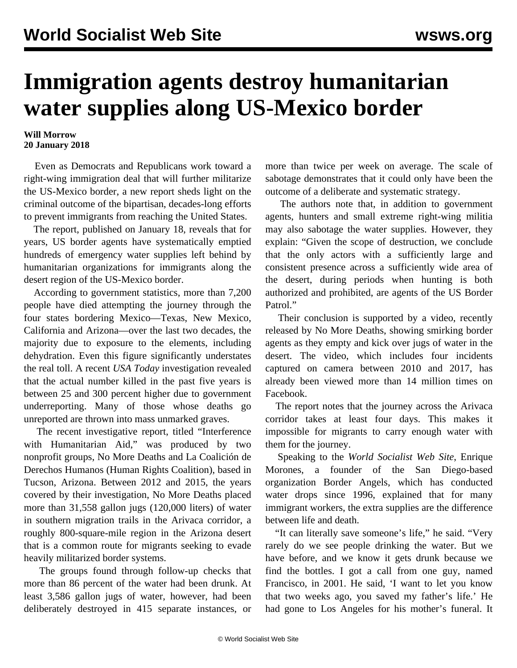## **Immigration agents destroy humanitarian water supplies along US-Mexico border**

## **Will Morrow 20 January 2018**

 Even as Democrats and Republicans work toward a right-wing immigration deal that will further militarize the US-Mexico border, a new report sheds light on the criminal outcome of the bipartisan, decades-long efforts to prevent immigrants from reaching the United States.

 The report, published on January 18, reveals that for years, US border agents have systematically emptied hundreds of emergency water supplies left behind by humanitarian organizations for immigrants along the desert region of the US-Mexico border.

 According to government statistics, more than 7,200 people have died attempting the journey through the four states bordering Mexico—Texas, New Mexico, California and Arizona—over the last two decades, the majority due to exposure to the elements, including dehydration. Even this figure significantly understates the real toll. A recent *USA Today* investigation [revealed](/en/articles/2017/12/28/bord-d28.html) that the actual number killed in the past five years is between 25 and 300 percent higher due to government underreporting. Many of those whose deaths go unreported are thrown into mass unmarked graves.

 The recent investigative report, titled "Interference with Humanitarian Aid," was produced by two nonprofit groups, No More Deaths and La Coalición de Derechos Humanos (Human Rights Coalition), based in Tucson, Arizona. Between 2012 and 2015, the years covered by their investigation, No More Deaths placed more than 31,558 gallon jugs (120,000 liters) of water in southern migration trails in the Arivaca corridor, a roughly 800-square-mile region in the Arizona desert that is a common route for migrants seeking to evade heavily militarized border systems.

 The groups found through follow-up checks that more than 86 percent of the water had been drunk. At least 3,586 gallon jugs of water, however, had been deliberately destroyed in 415 separate instances, or

more than twice per week on average. The scale of sabotage demonstrates that it could only have been the outcome of a deliberate and systematic strategy.

 The authors note that, in addition to government agents, hunters and small extreme right-wing militia may also sabotage the water supplies. However, they explain: "Given the scope of destruction, we conclude that the only actors with a sufficiently large and consistent presence across a sufficiently wide area of the desert, during periods when hunting is both authorized and prohibited, are agents of the US Border Patrol."

 Their conclusion is supported by a video, recently released by No More Deaths, showing smirking border agents as they empty and kick over jugs of water in the desert. The video, which includes four incidents captured on camera between 2010 and 2017, has already been viewed more than 14 million times on Facebook.

 The report notes that the journey across the Arivaca corridor takes at least four days. This makes it impossible for migrants to carry enough water with them for the journey.

 Speaking to the *World Socialist Web Site*, Enrique Morones, a founder of the San Diego-based organization Border Angels, which has conducted water drops since 1996, explained that for many immigrant workers, the extra supplies are the difference between life and death.

 "It can literally save someone's life," he said. "Very rarely do we see people drinking the water. But we have before, and we know it gets drunk because we find the bottles. I got a call from one guy, named Francisco, in 2001. He said, 'I want to let you know that two weeks ago, you saved my father's life.' He had gone to Los Angeles for his mother's funeral. It